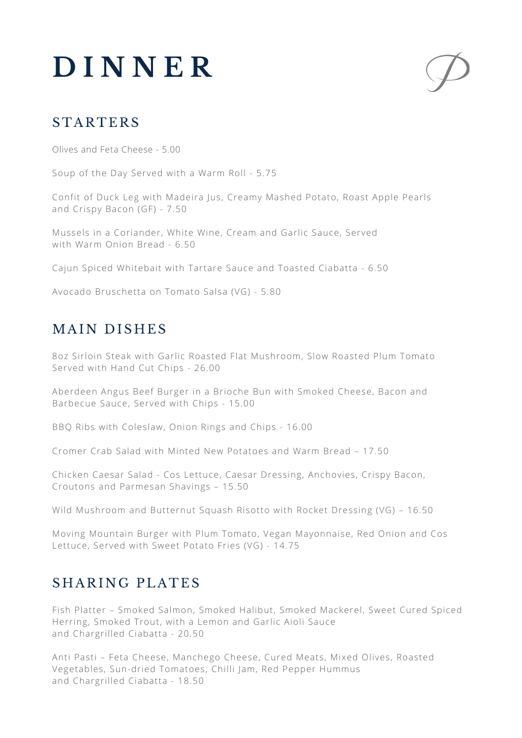# **D I N N E R**



# **STARTERS**

Olives and Feta Cheese - 5.00

Soup of the Day Served with a Warm Roll - 5.75

Confit of Duck Leg with Madeira Jus, Creamy Mashed Potato, Roast Apple Pearls and Crispy Bacon (GF) - 7.50

Mussels in a Coriander, White Wine, Cream and Garlic Sauce, Served with Warm Onion Bread - 6.50

Cajun Spiced Whitebait with Tartare Sauce and Toasted Ciabatta - 6.50

Avocado Bruschetta on Tomato Salsa (VG) - 5.80

## MAIN DISHES

8oz Sirloin Steak with Garlic Roasted Flat Mushroom, Slow Roasted Plum Tomato Served with Hand Cut Chips - 26.00

Aberdeen Angus Beef Burger in a Brioche Bun with Smoked Cheese, Bacon and Barbecue Sauce, Served with Chips - 15.00

BBQ Ribs with Coleslaw, Onion Rings and Chips - 16.00

Cromer Crab Salad with Minted New Potatoes and Warm Bread – 17.50

Chicken Caesar Salad - Cos Lettuce, Caesar Dressing, Anchovies, Crispy Bacon, Croutons and Parmesan Shavings – 15.50

Wild Mushroom and Butternut Squash Risotto with Rocket Dressing (VG) – 16.50

Moving Mountain Burger with Plum Tomato, Vegan Mayonnaise, Red Onion and Cos Lettuce, Served with Sweet Potato Fries (VG) - 14.75

#### SHARING PLATES

Fish Platter – Smoked Salmon, Smoked Halibut, Smoked Mackerel, Sweet Cured Spiced Herring, Smoked Trout, with a Lemon and Garlic Aioli Sauce and Chargrilled Ciabatta - 20.50

Anti Pasti – Feta Cheese, Manchego Cheese, Cured Meats, Mixed Olives, Roasted Vegetables, Sun-dried Tomatoes, Chilli Jam, Red Pepper Hummus and Chargrilled Ciabatta - 18.50